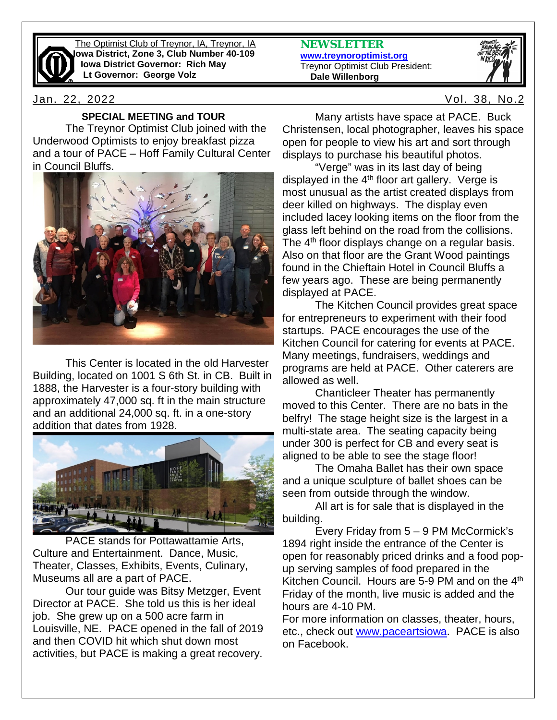

The Optimist Club of Treynor, IA, Treynor, IA **Iowa District, Zone 3, Club Number 40-109 Iowa District Governor: Rich May Lt Governor: George Volz**

Jan. 22, 2022 Vol. 38, No.2

# **SPECIAL MEETING and TOUR**

The Treynor Optimist Club joined with the Underwood Optimists to enjoy breakfast pizza and a tour of PACE – Hoff Family Cultural Center in Council Bluffs.



This Center is located in the old Harvester Building, located on 1001 S 6th St. in CB. Built in 1888, the Harvester is a four-story building with approximately 47,000 sq. ft in the main structure and an additional 24,000 sq. ft. in a one-story addition that dates from 1928.



PACE stands for Pottawattamie Arts, Culture and Entertainment. Dance, Music, Theater, Classes, Exhibits, Events, Culinary, Museums all are a part of PACE.

Our tour guide was Bitsy Metzger, Event Director at PACE. She told us this is her ideal job. She grew up on a 500 acre farm in Louisville, NE. PACE opened in the fall of 2019 and then COVID hit which shut down most activities, but PACE is making a great recovery. **NEWSLETTER [www.treynoroptimist.org](http://www.treynoroptimist.org/)** Treynor Optimist Club President:  **Dale Willenborg**



Many artists have space at PACE. Buck Christensen, local photographer, leaves his space open for people to view his art and sort through displays to purchase his beautiful photos.

"Verge" was in its last day of being displayed in the  $4<sup>th</sup>$  floor art gallery. Verge is most unusual as the artist created displays from deer killed on highways. The display even included lacey looking items on the floor from the glass left behind on the road from the collisions. The  $4<sup>th</sup>$  floor displays change on a regular basis. Also on that floor are the Grant Wood paintings found in the Chieftain Hotel in Council Bluffs a few years ago. These are being permanently displayed at PACE.

The Kitchen Council provides great space for entrepreneurs to experiment with their food startups. PACE encourages the use of the Kitchen Council for catering for events at PACE. Many meetings, fundraisers, weddings and programs are held at PACE. Other caterers are allowed as well.

Chanticleer Theater has permanently moved to this Center. There are no bats in the belfry! The stage height size is the largest in a multi-state area. The seating capacity being under 300 is perfect for CB and every seat is aligned to be able to see the stage floor!

The Omaha Ballet has their own space and a unique sculpture of ballet shoes can be seen from outside through the window.

All art is for sale that is displayed in the building.

Every Friday from 5 – 9 PM McCormick's 1894 right inside the entrance of the Center is open for reasonably priced drinks and a food popup serving samples of food prepared in the Kitchen Council. Hours are 5-9 PM and on the 4<sup>th</sup> Friday of the month, live music is added and the hours are 4-10 PM.

For more information on classes, theater, hours, etc., check out [www.paceartsiowa.](http://www.paceartsiowa/) PACE is also on Facebook.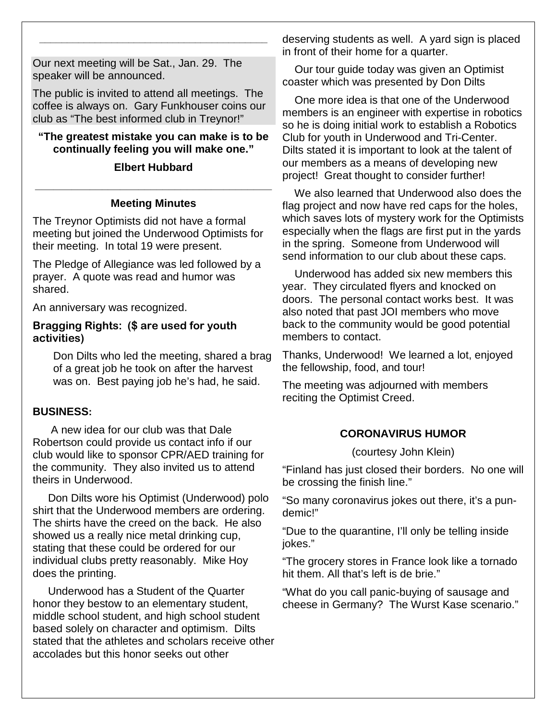Our next meeting will be Sat., Jan. 29. The speaker will be announced.

The public is invited to attend all meetings. The coffee is always on. Gary Funkhouser coins our club as "The best informed club in Treynor!"

**\_\_\_\_\_\_\_\_\_\_\_\_\_\_\_\_\_\_\_\_\_\_\_\_\_\_\_\_\_\_\_\_\_\_\_\_\_\_\_\_\_**

# **"The greatest mistake you can make is to be continually feeling you will make one."**

## **Elbert Hubbard**

# **\_\_\_\_\_\_\_\_\_\_\_\_\_\_\_\_\_\_\_\_\_\_\_\_\_\_\_\_\_\_\_\_\_\_\_\_\_\_\_ Meeting Minutes**

The Treynor Optimists did not have a formal meeting but joined the Underwood Optimists for their meeting. In total 19 were present.

The Pledge of Allegiance was led followed by a prayer. A quote was read and humor was shared.

An anniversary was recognized.

### **Bragging Rights: (\$ are used for youth activities)**

Don Dilts who led the meeting, shared a brag of a great job he took on after the harvest was on. Best paying job he's had, he said.

#### **BUSINESS:**

 A new idea for our club was that Dale Robertson could provide us contact info if our club would like to sponsor CPR/AED training for the community. They also invited us to attend theirs in Underwood.

 Don Dilts wore his Optimist (Underwood) polo shirt that the Underwood members are ordering. The shirts have the creed on the back. He also showed us a really nice metal drinking cup, stating that these could be ordered for our individual clubs pretty reasonably. Mike Hoy does the printing.

 Underwood has a Student of the Quarter honor they bestow to an elementary student, middle school student, and high school student based solely on character and optimism. Dilts stated that the athletes and scholars receive other accolades but this honor seeks out other

deserving students as well. A yard sign is placed in front of their home for a quarter.

 Our tour guide today was given an Optimist coaster which was presented by Don Dilts

 One more idea is that one of the Underwood members is an engineer with expertise in robotics so he is doing initial work to establish a Robotics Club for youth in Underwood and Tri-Center. Dilts stated it is important to look at the talent of our members as a means of developing new project! Great thought to consider further!

 We also learned that Underwood also does the flag project and now have red caps for the holes, which saves lots of mystery work for the Optimists especially when the flags are first put in the yards in the spring. Someone from Underwood will send information to our club about these caps.

 Underwood has added six new members this year. They circulated flyers and knocked on doors. The personal contact works best. It was also noted that past JOI members who move back to the community would be good potential members to contact.

Thanks, Underwood! We learned a lot, enjoyed the fellowship, food, and tour!

The meeting was adjourned with members reciting the Optimist Creed.

# **CORONAVIRUS HUMOR**

(courtesy John Klein)

"Finland has just closed their borders. No one will be crossing the finish line."

"So many coronavirus jokes out there, it's a pundemic!"

"Due to the quarantine, I'll only be telling inside jokes."

"The grocery stores in France look like a tornado hit them. All that's left is de brie."

"What do you call panic-buying of sausage and cheese in Germany? The Wurst Kase scenario."